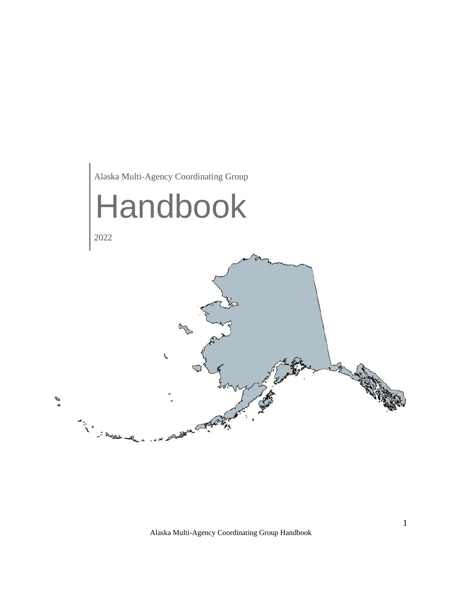

Alaska Multi-Agency Coordinating Group Handbook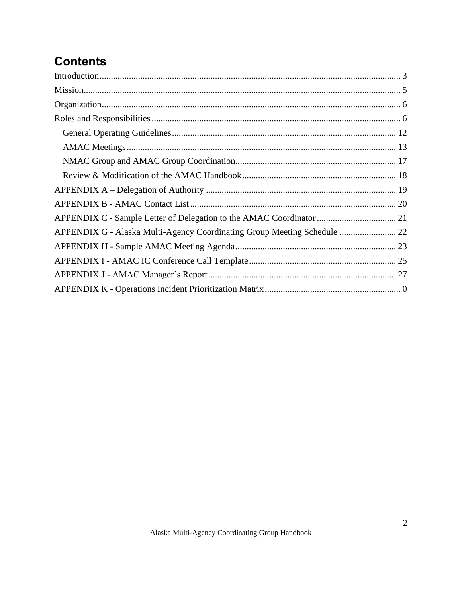# **Contents**

| APPENDIX C - Sample Letter of Delegation to the AMAC Coordinator  21     |  |
|--------------------------------------------------------------------------|--|
| APPENDIX G - Alaska Multi-Agency Coordinating Group Meeting Schedule  22 |  |
|                                                                          |  |
|                                                                          |  |
|                                                                          |  |
|                                                                          |  |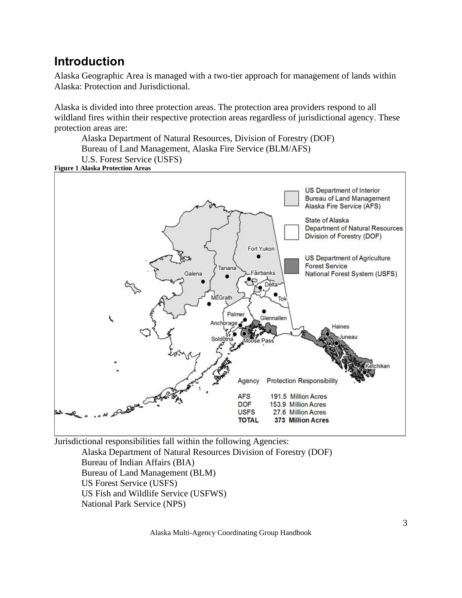# <span id="page-2-0"></span>**Introduction**

Alaska Geographic Area is managed with a two-tier approach for management of lands within Alaska: Protection and Jurisdictional.

Alaska is divided into three protection areas. The protection area providers respond to all wildland fires within their respective protection areas regardless of jurisdictional agency. These protection areas are:

Alaska Department of Natural Resources, Division of Forestry (DOF) Bureau of Land Management, Alaska Fire Service (BLM/AFS) U.S. Forest Service (USFS)

**Figure 1 Alaska Protection Areas**



Jurisdictional responsibilities fall within the following Agencies:

Alaska Department of Natural Resources Division of Forestry (DOF) Bureau of Indian Affairs (BIA) Bureau of Land Management (BLM) US Forest Service (USFS) US Fish and Wildlife Service (USFWS) National Park Service (NPS)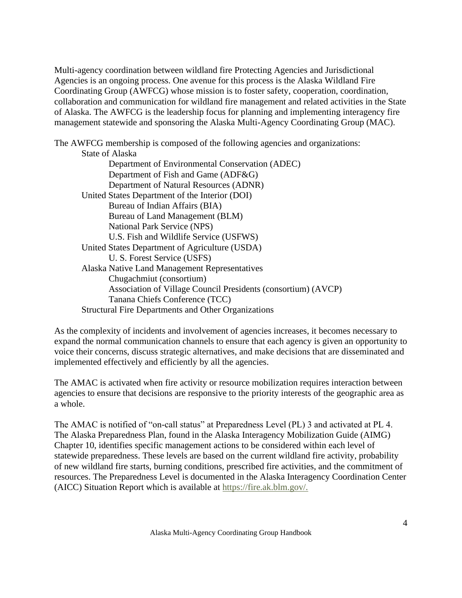Multi-agency coordination between wildland fire Protecting Agencies and Jurisdictional Agencies is an ongoing process. One avenue for this process is the Alaska Wildland Fire Coordinating Group (AWFCG) whose mission is to foster safety, cooperation, coordination, collaboration and communication for wildland fire management and related activities in the State of Alaska. The AWFCG is the leadership focus for planning and implementing interagency fire management statewide and sponsoring the Alaska Multi-Agency Coordinating Group (MAC).

The AWFCG membership is composed of the following agencies and organizations: State of Alaska Department of Environmental Conservation (ADEC) Department of Fish and Game (ADF&G) Department of Natural Resources (ADNR) United States Department of the Interior (DOI) Bureau of Indian Affairs (BIA) Bureau of Land Management (BLM) National Park Service (NPS) U.S. Fish and Wildlife Service (USFWS) United States Department of Agriculture (USDA) U. S. Forest Service (USFS) Alaska Native Land Management Representatives Chugachmiut (consortium) Association of Village Council Presidents (consortium) (AVCP) Tanana Chiefs Conference (TCC) Structural Fire Departments and Other Organizations

As the complexity of incidents and involvement of agencies increases, it becomes necessary to expand the normal communication channels to ensure that each agency is given an opportunity to voice their concerns, discuss strategic alternatives, and make decisions that are disseminated and implemented effectively and efficiently by all the agencies.

The AMAC is activated when fire activity or resource mobilization requires interaction between agencies to ensure that decisions are responsive to the priority interests of the geographic area as a whole.

The AMAC is notified of "on-call status" at Preparedness Level (PL) 3 and activated at PL 4. The Alaska Preparedness Plan, found in the Alaska Interagency Mobilization Guide (AIMG) Chapter 10, identifies specific management actions to be considered within each level of statewide preparedness. These levels are based on the current wildland fire activity, probability of new wildland fire starts, burning conditions, prescribed fire activities, and the commitment of resources. The Preparedness Level is documented in the Alaska Interagency Coordination Center (AICC) Situation Report which is available at [https://fire.ak.blm.gov/.](https://fire.ak.blm.gov/)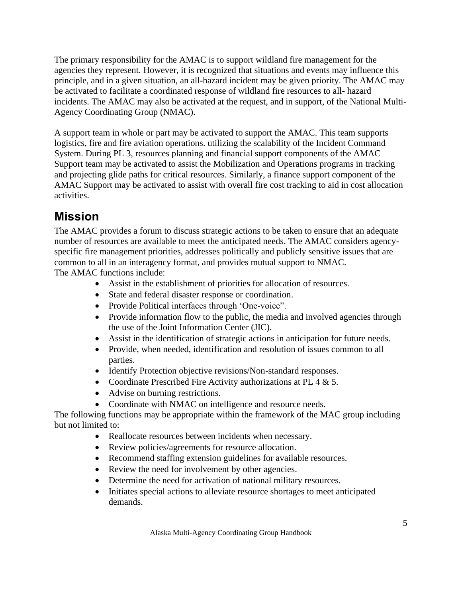The primary responsibility for the AMAC is to support wildland fire management for the agencies they represent. However, it is recognized that situations and events may influence this principle, and in a given situation, an all-hazard incident may be given priority. The AMAC may be activated to facilitate a coordinated response of wildland fire resources to all- hazard incidents. The AMAC may also be activated at the request, and in support, of the National Multi-Agency Coordinating Group (NMAC).

A support team in whole or part may be activated to support the AMAC. This team supports logistics, fire and fire aviation operations. utilizing the scalability of the Incident Command System. During PL 3, resources planning and financial support components of the AMAC Support team may be activated to assist the Mobilization and Operations programs in tracking and projecting glide paths for critical resources. Similarly, a finance support component of the AMAC Support may be activated to assist with overall fire cost tracking to aid in cost allocation activities.

# <span id="page-4-0"></span>**Mission**

The AMAC provides a forum to discuss strategic actions to be taken to ensure that an adequate number of resources are available to meet the anticipated needs. The AMAC considers agencyspecific fire management priorities, addresses politically and publicly sensitive issues that are common to all in an interagency format, and provides mutual support to NMAC.

The AMAC functions include:

- Assist in the establishment of priorities for allocation of resources.
- State and federal disaster response or coordination.
- Provide Political interfaces through 'One-voice".
- Provide information flow to the public, the media and involved agencies through the use of the Joint Information Center (JIC).
- Assist in the identification of strategic actions in anticipation for future needs.
- Provide, when needed, identification and resolution of issues common to all parties.
- Identify Protection objective revisions/Non-standard responses.
- Coordinate Prescribed Fire Activity authorizations at PL 4 & 5.
- Advise on burning restrictions.
- Coordinate with NMAC on intelligence and resource needs.

The following functions may be appropriate within the framework of the MAC group including but not limited to:

- Reallocate resources between incidents when necessary.
- Review policies/agreements for resource allocation.
- Recommend staffing extension guidelines for available resources.
- Review the need for involvement by other agencies.
- Determine the need for activation of national military resources.
- Initiates special actions to alleviate resource shortages to meet anticipated demands.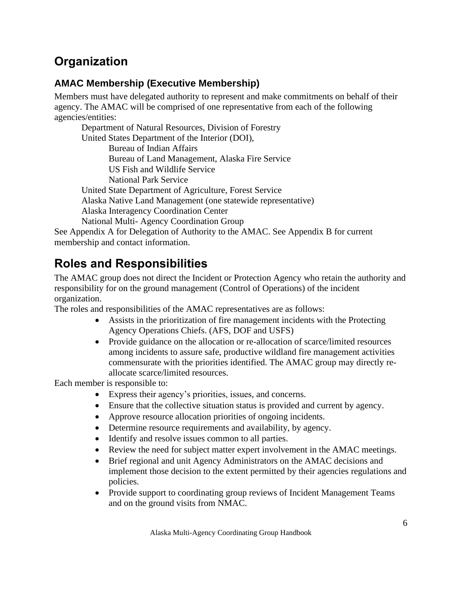# <span id="page-5-0"></span>**Organization**

# **AMAC Membership (Executive Membership)**

Members must have delegated authority to represent and make commitments on behalf of their agency. The AMAC will be comprised of one representative from each of the following agencies/entities:

Department of Natural Resources, Division of Forestry United States Department of the Interior (DOI), Bureau of Indian Affairs Bureau of Land Management, Alaska Fire Service US Fish and Wildlife Service National Park Service United State Department of Agriculture, Forest Service Alaska Native Land Management (one statewide representative) Alaska Interagency Coordination Center National Multi- Agency Coordination Group See Appendix A for Delegation of Authority to the AMAC. See Appendix B for current membership and contact information.

# <span id="page-5-1"></span>**Roles and Responsibilities**

The AMAC group does not direct the Incident or Protection Agency who retain the authority and responsibility for on the ground management (Control of Operations) of the incident organization.

The roles and responsibilities of the AMAC representatives are as follows:

- Assists in the prioritization of fire management incidents with the Protecting Agency Operations Chiefs. (AFS, DOF and USFS)
- Provide guidance on the allocation or re-allocation of scarce/limited resources among incidents to assure safe, productive wildland fire management activities commensurate with the priorities identified. The AMAC group may directly reallocate scarce/limited resources.

Each member is responsible to:

- Express their agency's priorities, issues, and concerns.
- Ensure that the collective situation status is provided and current by agency.
- Approve resource allocation priorities of ongoing incidents.
- Determine resource requirements and availability, by agency.
- Identify and resolve issues common to all parties.
- Review the need for subject matter expert involvement in the AMAC meetings.
- Brief regional and unit Agency Administrators on the AMAC decisions and implement those decision to the extent permitted by their agencies regulations and policies.
- Provide support to coordinating group reviews of Incident Management Teams and on the ground visits from NMAC.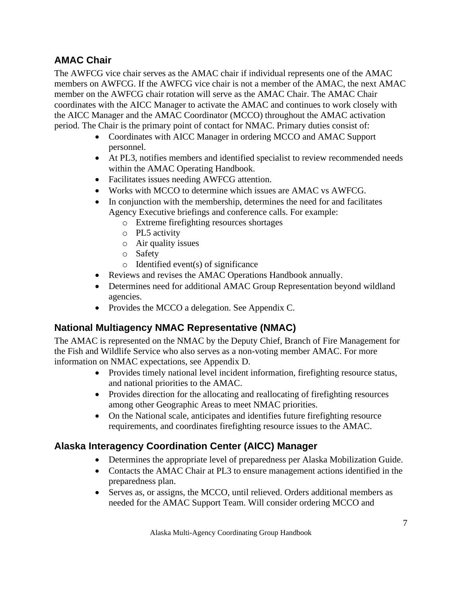# **AMAC Chair**

The AWFCG vice chair serves as the AMAC chair if individual represents one of the AMAC members on AWFCG. If the AWFCG vice chair is not a member of the AMAC, the next AMAC member on the AWFCG chair rotation will serve as the AMAC Chair. The AMAC Chair coordinates with the AICC Manager to activate the AMAC and continues to work closely with the AICC Manager and the AMAC Coordinator (MCCO) throughout the AMAC activation period. The Chair is the primary point of contact for NMAC. Primary duties consist of:

- Coordinates with AICC Manager in ordering MCCO and AMAC Support personnel.
- At PL3, notifies members and identified specialist to review recommended needs within the AMAC Operating Handbook.
- Facilitates issues needing AWFCG attention.
- Works with MCCO to determine which issues are AMAC vs AWFCG.
- In conjunction with the membership, determines the need for and facilitates Agency Executive briefings and conference calls. For example:
	- o Extreme firefighting resources shortages
	- o PL5 activity
	- o Air quality issues
	- o Safety
	- o Identified event(s) of significance
- Reviews and revises the AMAC Operations Handbook annually.
- Determines need for additional AMAC Group Representation beyond wildland agencies.
- Provides the MCCO a delegation. See Appendix C.

# **National Multiagency NMAC Representative (NMAC)**

The AMAC is represented on the NMAC by the Deputy Chief, Branch of Fire Management for the Fish and Wildlife Service who also serves as a non-voting member AMAC. For more information on NMAC expectations, see Appendix D.

- Provides timely national level incident information, firefighting resource status, and national priorities to the AMAC.
- Provides direction for the allocating and reallocating of firefighting resources among other Geographic Areas to meet NMAC priorities.
- On the National scale, anticipates and identifies future firefighting resource requirements, and coordinates firefighting resource issues to the AMAC.

# **Alaska Interagency Coordination Center (AICC) Manager**

- Determines the appropriate level of preparedness per Alaska Mobilization Guide.
- Contacts the AMAC Chair at PL3 to ensure management actions identified in the preparedness plan.
- Serves as, or assigns, the MCCO, until relieved. Orders additional members as needed for the AMAC Support Team. Will consider ordering MCCO and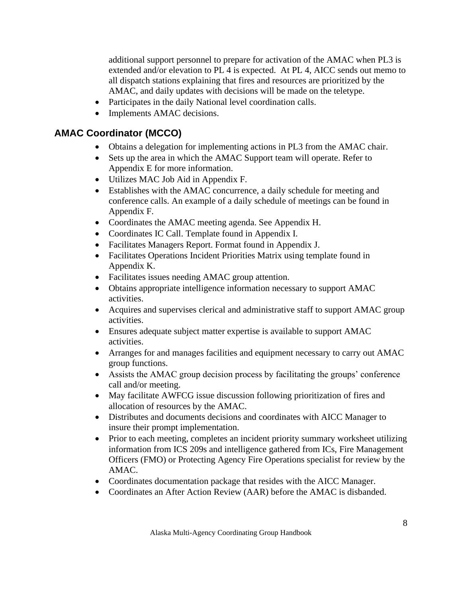additional support personnel to prepare for activation of the AMAC when PL3 is extended and/or elevation to PL 4 is expected. At PL 4, AICC sends out memo to all dispatch stations explaining that fires and resources are prioritized by the AMAC, and daily updates with decisions will be made on the teletype.

- Participates in the daily National level coordination calls.
- Implements AMAC decisions.

# **AMAC Coordinator (MCCO)**

- Obtains a delegation for implementing actions in PL3 from the AMAC chair.
- Sets up the area in which the AMAC Support team will operate. Refer to Appendix E for more information.
- Utilizes MAC Job Aid in Appendix F.
- Establishes with the AMAC concurrence, a daily schedule for meeting and conference calls. An example of a daily schedule of meetings can be found in Appendix F.
- Coordinates the AMAC meeting agenda. See Appendix H.
- Coordinates IC Call. Template found in Appendix I.
- Facilitates Managers Report. Format found in Appendix J.
- Facilitates Operations Incident Priorities Matrix using template found in Appendix K.
- Facilitates issues needing AMAC group attention.
- Obtains appropriate intelligence information necessary to support AMAC activities.
- Acquires and supervises clerical and administrative staff to support AMAC group activities.
- Ensures adequate subject matter expertise is available to support AMAC activities.
- Arranges for and manages facilities and equipment necessary to carry out AMAC group functions.
- Assists the AMAC group decision process by facilitating the groups' conference call and/or meeting.
- May facilitate AWFCG issue discussion following prioritization of fires and allocation of resources by the AMAC.
- Distributes and documents decisions and coordinates with AICC Manager to insure their prompt implementation.
- Prior to each meeting, completes an incident priority summary worksheet utilizing information from ICS 209s and intelligence gathered from ICs, Fire Management Officers (FMO) or Protecting Agency Fire Operations specialist for review by the AMAC.
- Coordinates documentation package that resides with the AICC Manager.
- Coordinates an After Action Review (AAR) before the AMAC is disbanded.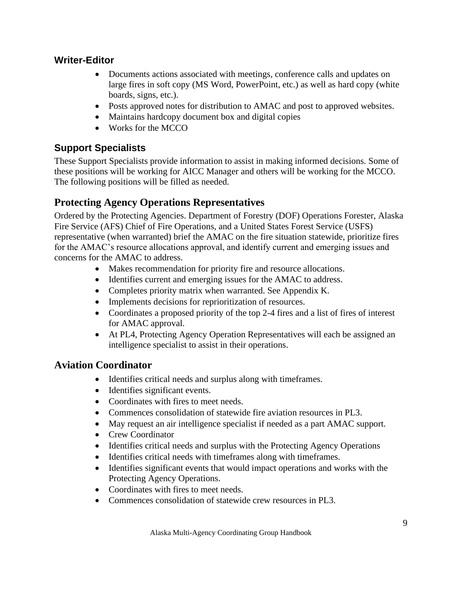# **Writer-Editor**

- Documents actions associated with meetings, conference calls and updates on large fires in soft copy (MS Word, PowerPoint, etc.) as well as hard copy (white boards, signs, etc.).
- Posts approved notes for distribution to AMAC and post to approved websites.
- Maintains hardcopy document box and digital copies
- Works for the MCCO

# **Support Specialists**

These Support Specialists provide information to assist in making informed decisions. Some of these positions will be working for AICC Manager and others will be working for the MCCO. The following positions will be filled as needed.

# **Protecting Agency Operations Representatives**

Ordered by the Protecting Agencies. Department of Forestry (DOF) Operations Forester, Alaska Fire Service (AFS) Chief of Fire Operations, and a United States Forest Service (USFS) representative (when warranted) brief the AMAC on the fire situation statewide, prioritize fires for the AMAC's resource allocations approval, and identify current and emerging issues and concerns for the AMAC to address.

- Makes recommendation for priority fire and resource allocations.
- Identifies current and emerging issues for the AMAC to address.
- Completes priority matrix when warranted. See Appendix K.
- Implements decisions for reprioritization of resources.
- Coordinates a proposed priority of the top 2-4 fires and a list of fires of interest for AMAC approval.
- At PL4, Protecting Agency Operation Representatives will each be assigned an intelligence specialist to assist in their operations.

# **Aviation Coordinator**

- Identifies critical needs and surplus along with timeframes.
- Identifies significant events.
- Coordinates with fires to meet needs.
- Commences consolidation of statewide fire aviation resources in PL3.
- May request an air intelligence specialist if needed as a part AMAC support.
- Crew Coordinator
- Identifies critical needs and surplus with the Protecting Agency Operations
- Identifies critical needs with timeframes along with timeframes.
- Identifies significant events that would impact operations and works with the Protecting Agency Operations.
- Coordinates with fires to meet needs.
- Commences consolidation of statewide crew resources in PL3.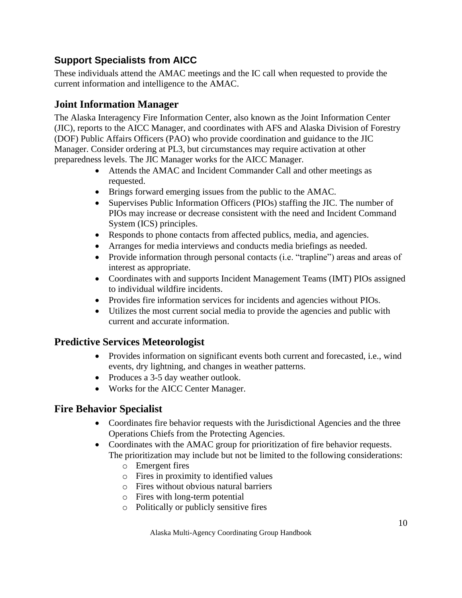# **Support Specialists from AICC**

These individuals attend the AMAC meetings and the IC call when requested to provide the current information and intelligence to the AMAC.

# **Joint Information Manager**

The Alaska Interagency Fire Information Center, also known as the Joint Information Center (JIC), reports to the AICC Manager, and coordinates with AFS and Alaska Division of Forestry (DOF) Public Affairs Officers (PAO) who provide coordination and guidance to the JIC Manager. Consider ordering at PL3, but circumstances may require activation at other preparedness levels. The JIC Manager works for the AICC Manager.

- Attends the AMAC and Incident Commander Call and other meetings as requested.
- Brings forward emerging issues from the public to the AMAC.
- Supervises Public Information Officers (PIOs) staffing the JIC. The number of PIOs may increase or decrease consistent with the need and Incident Command System (ICS) principles.
- Responds to phone contacts from affected publics, media, and agencies.
- Arranges for media interviews and conducts media briefings as needed.
- Provide information through personal contacts (i.e. "trapline") areas and areas of interest as appropriate.
- Coordinates with and supports Incident Management Teams (IMT) PIOs assigned to individual wildfire incidents.
- Provides fire information services for incidents and agencies without PIOs.
- Utilizes the most current social media to provide the agencies and public with current and accurate information.

# **Predictive Services Meteorologist**

- Provides information on significant events both current and forecasted, i.e., wind events, dry lightning, and changes in weather patterns.
- Produces a 3-5 day weather outlook.
- Works for the AICC Center Manager.

# **Fire Behavior Specialist**

- Coordinates fire behavior requests with the Jurisdictional Agencies and the three Operations Chiefs from the Protecting Agencies.
- Coordinates with the AMAC group for prioritization of fire behavior requests. The prioritization may include but not be limited to the following considerations:
	- o Emergent fires
	- o Fires in proximity to identified values
	- o Fires without obvious natural barriers
	- o Fires with long-term potential
	- o Politically or publicly sensitive fires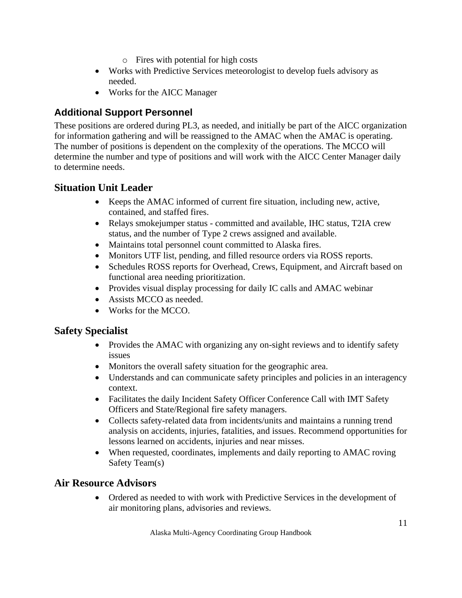- o Fires with potential for high costs
- Works with Predictive Services meteorologist to develop fuels advisory as needed.
- Works for the AICC Manager

# **Additional Support Personnel**

These positions are ordered during PL3, as needed, and initially be part of the AICC organization for information gathering and will be reassigned to the AMAC when the AMAC is operating. The number of positions is dependent on the complexity of the operations. The MCCO will determine the number and type of positions and will work with the AICC Center Manager daily to determine needs.

# **Situation Unit Leader**

- Keeps the AMAC informed of current fire situation, including new, active, contained, and staffed fires.
- Relays smokejumper status committed and available, IHC status, T2IA crew status, and the number of Type 2 crews assigned and available.
- Maintains total personnel count committed to Alaska fires.
- Monitors UTF list, pending, and filled resource orders via ROSS reports.
- Schedules ROSS reports for Overhead, Crews, Equipment, and Aircraft based on functional area needing prioritization.
- Provides visual display processing for daily IC calls and AMAC webinar
- Assists MCCO as needed.
- Works for the MCCO.

# **Safety Specialist**

- Provides the AMAC with organizing any on-sight reviews and to identify safety issues
- Monitors the overall safety situation for the geographic area.
- Understands and can communicate safety principles and policies in an interagency context.
- Facilitates the daily Incident Safety Officer Conference Call with IMT Safety Officers and State/Regional fire safety managers.
- Collects safety-related data from incidents/units and maintains a running trend analysis on accidents, injuries, fatalities, and issues. Recommend opportunities for lessons learned on accidents, injuries and near misses.
- When requested, coordinates, implements and daily reporting to AMAC roving Safety Team(s)

# **Air Resource Advisors**

• Ordered as needed to with work with Predictive Services in the development of air monitoring plans, advisories and reviews.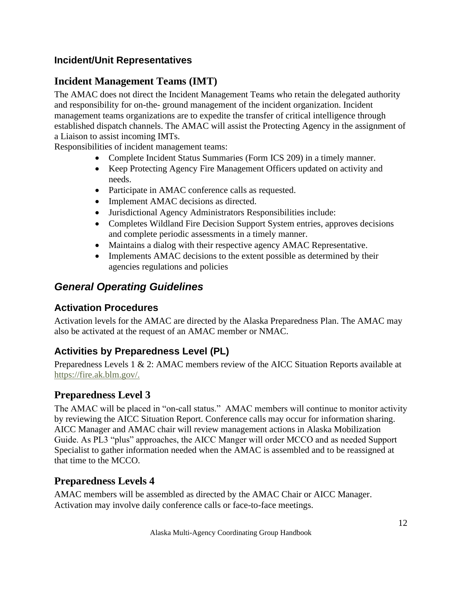# **Incident/Unit Representatives**

# **Incident Management Teams (IMT)**

The AMAC does not direct the Incident Management Teams who retain the delegated authority and responsibility for on-the- ground management of the incident organization. Incident management teams organizations are to expedite the transfer of critical intelligence through established dispatch channels. The AMAC will assist the Protecting Agency in the assignment of a Liaison to assist incoming IMTs.

Responsibilities of incident management teams:

- Complete Incident Status Summaries (Form ICS 209) in a timely manner.
- Keep Protecting Agency Fire Management Officers updated on activity and needs.
- Participate in AMAC conference calls as requested.
- Implement AMAC decisions as directed.
- Jurisdictional Agency Administrators Responsibilities include:
- Completes Wildland Fire Decision Support System entries, approves decisions and complete periodic assessments in a timely manner.
- Maintains a dialog with their respective agency AMAC Representative.
- Implements AMAC decisions to the extent possible as determined by their agencies regulations and policies

# <span id="page-11-0"></span>*General Operating Guidelines*

# **Activation Procedures**

Activation levels for the AMAC are directed by the Alaska Preparedness Plan. The AMAC may also be activated at the request of an AMAC member or NMAC.

# **Activities by Preparedness Level (PL)**

Preparedness Levels 1 & 2: AMAC members review of the AICC Situation Reports available at [https://fire.ak.blm.gov/.](https://fire.ak.blm.gov/)

# **Preparedness Level 3**

The AMAC will be placed in "on-call status." AMAC members will continue to monitor activity by reviewing the AICC Situation Report. Conference calls may occur for information sharing. AICC Manager and AMAC chair will review management actions in Alaska Mobilization Guide. As PL3 "plus" approaches, the AICC Manger will order MCCO and as needed Support Specialist to gather information needed when the AMAC is assembled and to be reassigned at that time to the MCCO.

# **Preparedness Levels 4**

AMAC members will be assembled as directed by the AMAC Chair or AICC Manager. Activation may involve daily conference calls or face-to-face meetings.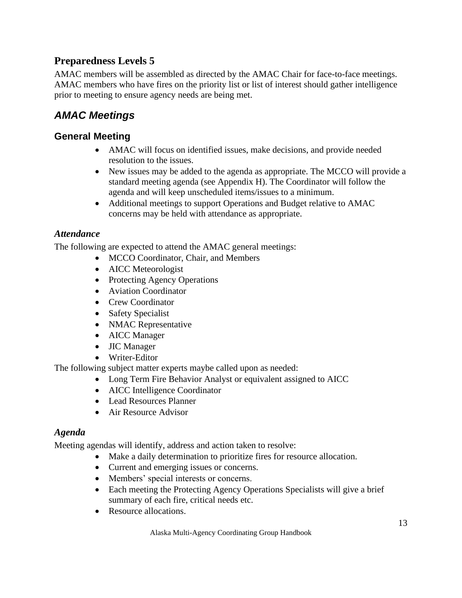# **Preparedness Levels 5**

AMAC members will be assembled as directed by the AMAC Chair for face-to-face meetings. AMAC members who have fires on the priority list or list of interest should gather intelligence prior to meeting to ensure agency needs are being met.

# <span id="page-12-0"></span>*AMAC Meetings*

# **General Meeting**

- AMAC will focus on identified issues, make decisions, and provide needed resolution to the issues.
- New issues may be added to the agenda as appropriate. The MCCO will provide a standard meeting agenda (see Appendix H). The Coordinator will follow the agenda and will keep unscheduled items/issues to a minimum.
- Additional meetings to support Operations and Budget relative to AMAC concerns may be held with attendance as appropriate.

# *Attendance*

The following are expected to attend the AMAC general meetings:

- MCCO Coordinator, Chair, and Members
- AICC Meteorologist
- Protecting Agency Operations
- Aviation Coordinator
- Crew Coordinator
- Safety Specialist
- NMAC Representative
- AICC Manager
- JIC Manager
- Writer-Editor

The following subject matter experts maybe called upon as needed:

- Long Term Fire Behavior Analyst or equivalent assigned to AICC
- AICC Intelligence Coordinator
- Lead Resources Planner
- Air Resource Advisor

### *Agenda*

Meeting agendas will identify, address and action taken to resolve:

- Make a daily determination to prioritize fires for resource allocation.
- Current and emerging issues or concerns.
- Members' special interests or concerns.
- Each meeting the Protecting Agency Operations Specialists will give a brief summary of each fire, critical needs etc.
- Resource allocations.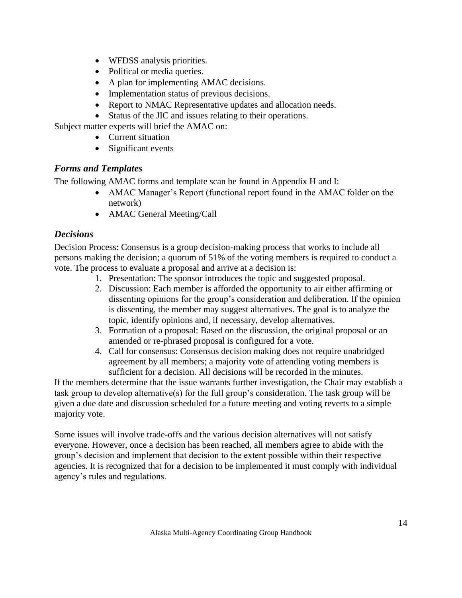- WFDSS analysis priorities.
- Political or media queries.
- A plan for implementing AMAC decisions.
- Implementation status of previous decisions.
- Report to NMAC Representative updates and allocation needs.
- Status of the JIC and issues relating to their operations.

Subject matter experts will brief the AMAC on:

- Current situation
- Significant events

### *Forms and Templates*

The following AMAC forms and template scan be found in Appendix H and I:

- AMAC Manager's Report (functional report found in the AMAC folder on the network)
- AMAC General Meeting/Call

# *Decisions*

Decision Process: Consensus is a group decision-making process that works to include all persons making the decision; a quorum of 51% of the voting members is required to conduct a vote. The process to evaluate a proposal and arrive at a decision is:

- 1. Presentation: The sponsor introduces the topic and suggested proposal.
- 2. Discussion: Each member is afforded the opportunity to air either affirming or dissenting opinions for the group's consideration and deliberation. If the opinion is dissenting, the member may suggest alternatives. The goal is to analyze the topic, identify opinions and, if necessary, develop alternatives.
- 3. Formation of a proposal: Based on the discussion, the original proposal or an amended or re-phrased proposal is configured for a vote.
- 4. Call for consensus: Consensus decision making does not require unabridged agreement by all members; a majority vote of attending voting members is sufficient for a decision. All decisions will be recorded in the minutes.

If the members determine that the issue warrants further investigation, the Chair may establish a task group to develop alternative(s) for the full group's consideration. The task group will be given a due date and discussion scheduled for a future meeting and voting reverts to a simple majority vote.

Some issues will involve trade-offs and the various decision alternatives will not satisfy everyone. However, once a decision has been reached, all members agree to abide with the group's decision and implement that decision to the extent possible within their respective agencies. It is recognized that for a decision to be implemented it must comply with individual agency's rules and regulations.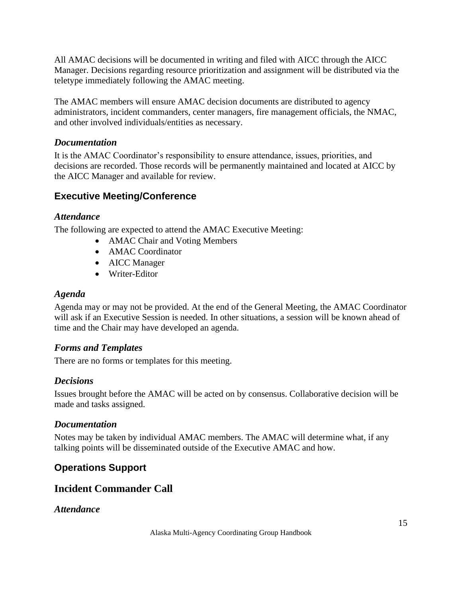All AMAC decisions will be documented in writing and filed with AICC through the AICC Manager. Decisions regarding resource prioritization and assignment will be distributed via the teletype immediately following the AMAC meeting.

The AMAC members will ensure AMAC decision documents are distributed to agency administrators, incident commanders, center managers, fire management officials, the NMAC, and other involved individuals/entities as necessary.

### *Documentation*

It is the AMAC Coordinator's responsibility to ensure attendance, issues, priorities, and decisions are recorded. Those records will be permanently maintained and located at AICC by the AICC Manager and available for review.

# **Executive Meeting/Conference**

#### *Attendance*

The following are expected to attend the AMAC Executive Meeting:

- AMAC Chair and Voting Members
- AMAC Coordinator
- AICC Manager
- Writer-Editor

### *Agenda*

Agenda may or may not be provided. At the end of the General Meeting, the AMAC Coordinator will ask if an Executive Session is needed. In other situations, a session will be known ahead of time and the Chair may have developed an agenda.

### *Forms and Templates*

There are no forms or templates for this meeting.

### *Decisions*

Issues brought before the AMAC will be acted on by consensus. Collaborative decision will be made and tasks assigned.

#### *Documentation*

Notes may be taken by individual AMAC members. The AMAC will determine what, if any talking points will be disseminated outside of the Executive AMAC and how.

# **Operations Support**

# **Incident Commander Call**

#### *Attendance*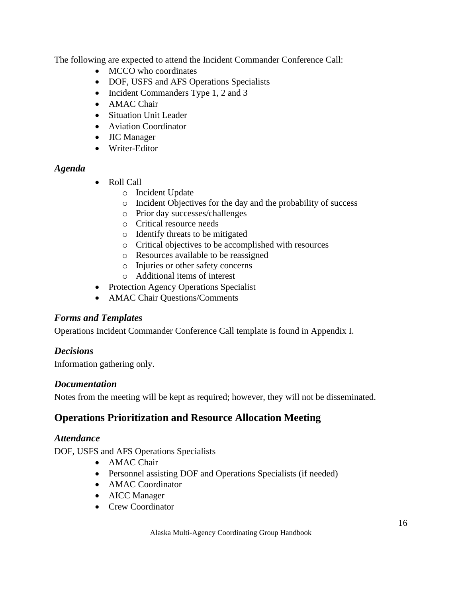The following are expected to attend the Incident Commander Conference Call:

- MCCO who coordinates
- DOF, USFS and AFS Operations Specialists
- Incident Commanders Type 1, 2 and 3
- AMAC Chair
- Situation Unit Leader
- Aviation Coordinator
- JIC Manager
- Writer-Editor

### *Agenda*

- Roll Call
	- o Incident Update
	- o Incident Objectives for the day and the probability of success
	- o Prior day successes/challenges
	- o Critical resource needs
	- o Identify threats to be mitigated
	- o Critical objectives to be accomplished with resources
	- o Resources available to be reassigned
	- o Injuries or other safety concerns
	- o Additional items of interest
- Protection Agency Operations Specialist
- AMAC Chair Questions/Comments

### *Forms and Templates*

Operations Incident Commander Conference Call template is found in Appendix I.

### *Decisions*

Information gathering only.

#### *Documentation*

Notes from the meeting will be kept as required; however, they will not be disseminated.

# **Operations Prioritization and Resource Allocation Meeting**

### *Attendance*

DOF, USFS and AFS Operations Specialists

- AMAC Chair
- Personnel assisting DOF and Operations Specialists (if needed)
- AMAC Coordinator
- AICC Manager
- Crew Coordinator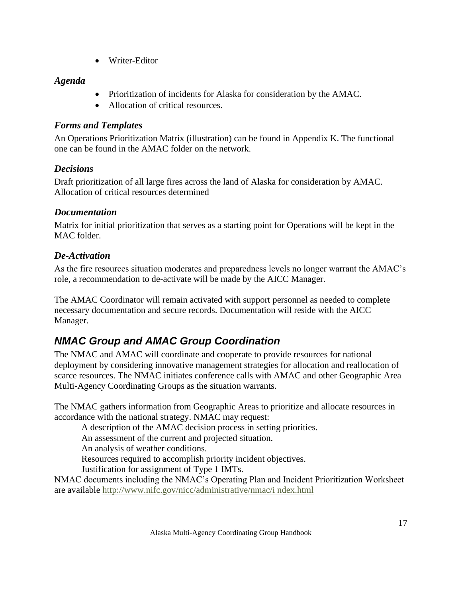• Writer-Editor

# *Agenda*

- Prioritization of incidents for Alaska for consideration by the AMAC.
- Allocation of critical resources.

# *Forms and Templates*

An Operations Prioritization Matrix (illustration) can be found in Appendix K. The functional one can be found in the AMAC folder on the network.

# *Decisions*

Draft prioritization of all large fires across the land of Alaska for consideration by AMAC. Allocation of critical resources determined

# *Documentation*

Matrix for initial prioritization that serves as a starting point for Operations will be kept in the MAC folder.

# *De-Activation*

As the fire resources situation moderates and preparedness levels no longer warrant the AMAC's role, a recommendation to de-activate will be made by the AICC Manager.

The AMAC Coordinator will remain activated with support personnel as needed to complete necessary documentation and secure records. Documentation will reside with the AICC Manager.

# <span id="page-16-0"></span>*NMAC Group and AMAC Group Coordination*

The NMAC and AMAC will coordinate and cooperate to provide resources for national deployment by considering innovative management strategies for allocation and reallocation of scarce resources. The NMAC initiates conference calls with AMAC and other Geographic Area Multi-Agency Coordinating Groups as the situation warrants.

The NMAC gathers information from Geographic Areas to prioritize and allocate resources in accordance with the national strategy. NMAC may request:

A description of the AMAC decision process in setting priorities.

An assessment of the current and projected situation.

An analysis of weather conditions.

Resources required to accomplish priority incident objectives.

Justification for assignment of Type 1 IMTs.

NMAC documents including the NMAC's Operating Plan and Incident Prioritization Worksheet are available [http://www.nifc.gov/nicc/administrative/nmac/i ndex.html](http://www.nifc.gov/nicc/administrative/nmac/i%20ndex.html)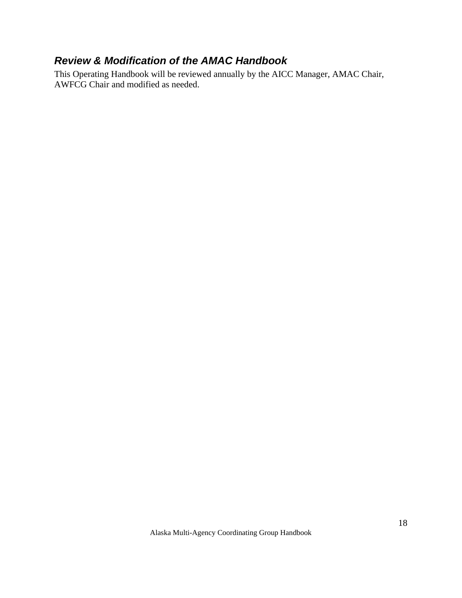# <span id="page-17-0"></span>*Review & Modification of the AMAC Handbook*

This Operating Handbook will be reviewed annually by the AICC Manager, AMAC Chair, AWFCG Chair and modified as needed.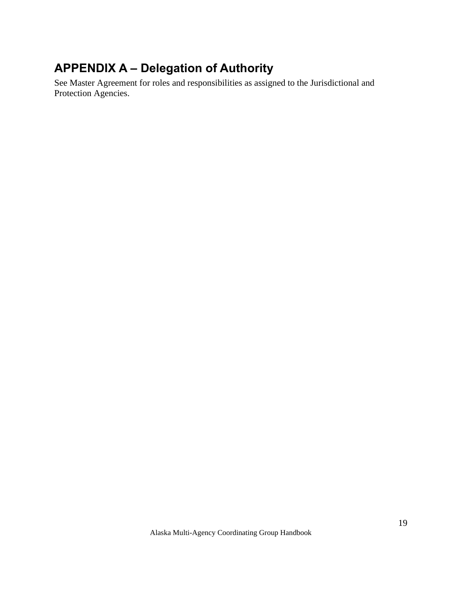# <span id="page-18-0"></span>**APPENDIX A – Delegation of Authority**

See Master Agreement for roles and responsibilities as assigned to the Jurisdictional and Protection Agencies.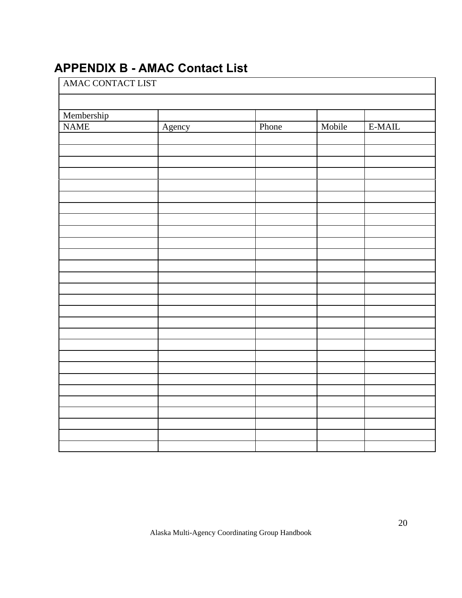# <span id="page-19-0"></span>**APPENDIX B - AMAC Contact List**

| AMAC CONTACT LIST |        |       |        |          |  |  |  |  |
|-------------------|--------|-------|--------|----------|--|--|--|--|
|                   |        |       |        |          |  |  |  |  |
| Membership        |        |       |        |          |  |  |  |  |
| <b>NAME</b>       | Agency | Phone | Mobile | $E-MAIL$ |  |  |  |  |
|                   |        |       |        |          |  |  |  |  |
|                   |        |       |        |          |  |  |  |  |
|                   |        |       |        |          |  |  |  |  |
|                   |        |       |        |          |  |  |  |  |
|                   |        |       |        |          |  |  |  |  |
|                   |        |       |        |          |  |  |  |  |
|                   |        |       |        |          |  |  |  |  |
|                   |        |       |        |          |  |  |  |  |
|                   |        |       |        |          |  |  |  |  |
|                   |        |       |        |          |  |  |  |  |
|                   |        |       |        |          |  |  |  |  |
|                   |        |       |        |          |  |  |  |  |
|                   |        |       |        |          |  |  |  |  |
|                   |        |       |        |          |  |  |  |  |
|                   |        |       |        |          |  |  |  |  |
|                   |        |       |        |          |  |  |  |  |
|                   |        |       |        |          |  |  |  |  |
|                   |        |       |        |          |  |  |  |  |
|                   |        |       |        |          |  |  |  |  |
|                   |        |       |        |          |  |  |  |  |
|                   |        |       |        |          |  |  |  |  |
|                   |        |       |        |          |  |  |  |  |
|                   |        |       |        |          |  |  |  |  |
|                   |        |       |        |          |  |  |  |  |
|                   |        |       |        |          |  |  |  |  |
|                   |        |       |        |          |  |  |  |  |
|                   |        |       |        |          |  |  |  |  |
|                   |        |       |        |          |  |  |  |  |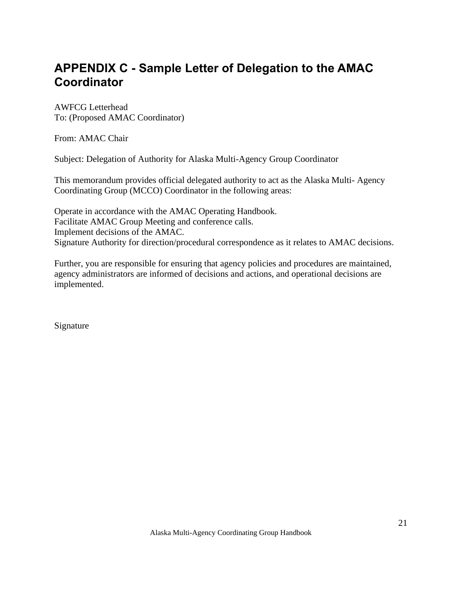# <span id="page-20-0"></span>**APPENDIX C - Sample Letter of Delegation to the AMAC Coordinator**

AWFCG Letterhead To: (Proposed AMAC Coordinator)

From: AMAC Chair

Subject: Delegation of Authority for Alaska Multi-Agency Group Coordinator

This memorandum provides official delegated authority to act as the Alaska Multi- Agency Coordinating Group (MCCO) Coordinator in the following areas:

Operate in accordance with the AMAC Operating Handbook. Facilitate AMAC Group Meeting and conference calls. Implement decisions of the AMAC. Signature Authority for direction/procedural correspondence as it relates to AMAC decisions.

Further, you are responsible for ensuring that agency policies and procedures are maintained, agency administrators are informed of decisions and actions, and operational decisions are implemented.

Signature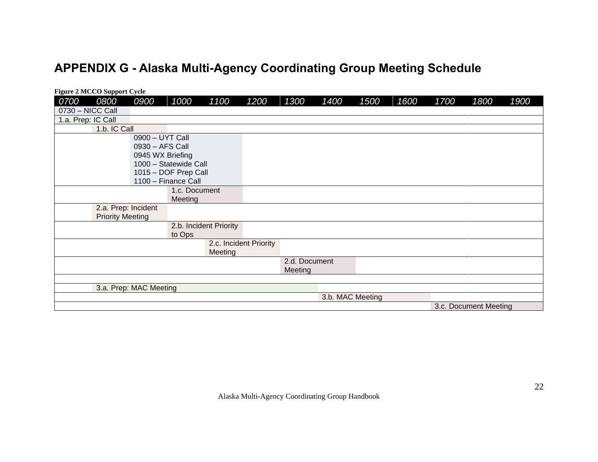# **APPENDIX G - Alaska Multi-Agency Coordinating Group Meeting Schedule**

<span id="page-21-0"></span>

| <b>Figure 2 MCCO Support Cycle</b> |                         |                  |                       |                        |                        |               |                  |      |      |      |                       |      |
|------------------------------------|-------------------------|------------------|-----------------------|------------------------|------------------------|---------------|------------------|------|------|------|-----------------------|------|
| 0700<br>0800                       |                         | 0900             | 1000                  | 1100                   | 1200                   | 1300          | 1400             | 1500 | 1600 | 1700 | 1800                  | 1900 |
| 0730 - NICC Call                   |                         |                  |                       |                        |                        |               |                  |      |      |      |                       |      |
| 1.a. Prep: IC Call                 |                         |                  |                       |                        |                        |               |                  |      |      |      |                       |      |
|                                    | 1.b. IC Call            |                  |                       |                        |                        |               |                  |      |      |      |                       |      |
|                                    |                         | 0900 - UYT Call  |                       |                        |                        |               |                  |      |      |      |                       |      |
|                                    |                         | 0930 - AFS Call  |                       |                        |                        |               |                  |      |      |      |                       |      |
|                                    |                         | 0945 WX Briefing |                       |                        |                        |               |                  |      |      |      |                       |      |
|                                    |                         |                  | 1000 - Statewide Call |                        |                        |               |                  |      |      |      |                       |      |
|                                    |                         |                  | 1015 - DOF Prep Call  |                        |                        |               |                  |      |      |      |                       |      |
|                                    |                         |                  | 1100 - Finance Call   |                        |                        |               |                  |      |      |      |                       |      |
|                                    |                         |                  | 1.c. Document         |                        |                        |               |                  |      |      |      |                       |      |
|                                    |                         |                  | Meeting               |                        |                        |               |                  |      |      |      |                       |      |
|                                    | 2.a. Prep: Incident     |                  |                       |                        |                        |               |                  |      |      |      |                       |      |
|                                    | <b>Priority Meeting</b> |                  |                       |                        |                        |               |                  |      |      |      |                       |      |
|                                    |                         |                  |                       | 2.b. Incident Priority |                        |               |                  |      |      |      |                       |      |
|                                    |                         |                  | to Ops                |                        |                        |               |                  |      |      |      |                       |      |
|                                    |                         |                  |                       |                        | 2.c. Incident Priority |               |                  |      |      |      |                       |      |
|                                    |                         |                  |                       | Meeting                |                        |               |                  |      |      |      |                       |      |
|                                    |                         |                  |                       |                        |                        | 2.d. Document |                  |      |      |      |                       |      |
|                                    |                         |                  |                       |                        |                        | Meeting       |                  |      |      |      |                       |      |
|                                    |                         |                  |                       |                        |                        |               |                  |      |      |      |                       |      |
|                                    | 3.a. Prep: MAC Meeting  |                  |                       |                        |                        |               |                  |      |      |      |                       |      |
|                                    |                         |                  |                       |                        |                        |               | 3.b. MAC Meeting |      |      |      |                       |      |
|                                    |                         |                  |                       |                        |                        |               |                  |      |      |      | 3.c. Document Meeting |      |

Alaska Multi-Agency Coordinating Group Handbook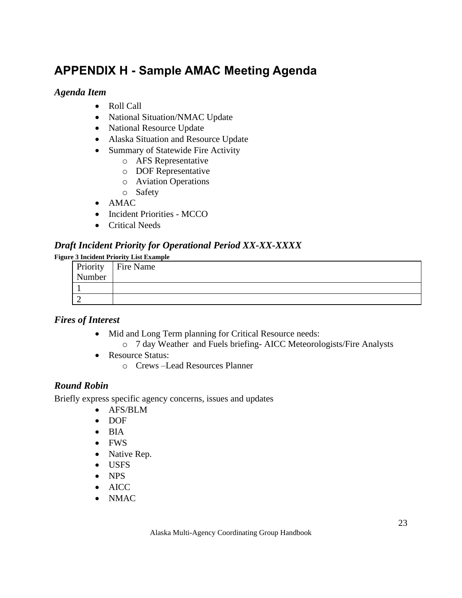# <span id="page-22-0"></span>**APPENDIX H - Sample AMAC Meeting Agenda**

### *Agenda Item*

- Roll Call
- National Situation/NMAC Update
- National Resource Update
- Alaska Situation and Resource Update
- Summary of Statewide Fire Activity
	- o AFS Representative
	- o DOF Representative
	- o Aviation Operations
	- o Safety
- AMAC
- Incident Priorities MCCO
- Critical Needs

### *Draft Incident Priority for Operational Period XX-XX-XXXX*

#### **Figure 3 Incident Priority List Example**

| Priority | Fire Name |
|----------|-----------|
| Number   |           |
|          |           |
|          |           |

### *Fires of Interest*

- Mid and Long Term planning for Critical Resource needs:
	- o 7 day Weather and Fuels briefing- AICC Meteorologists/Fire Analysts
- Resource Status:
	- o Crews –Lead Resources Planner

### *Round Robin*

Briefly express specific agency concerns, issues and updates

- AFS/BLM
- DOF
- BIA
- FWS
- Native Rep.
- USFS
- NPS
- AICC
- NMAC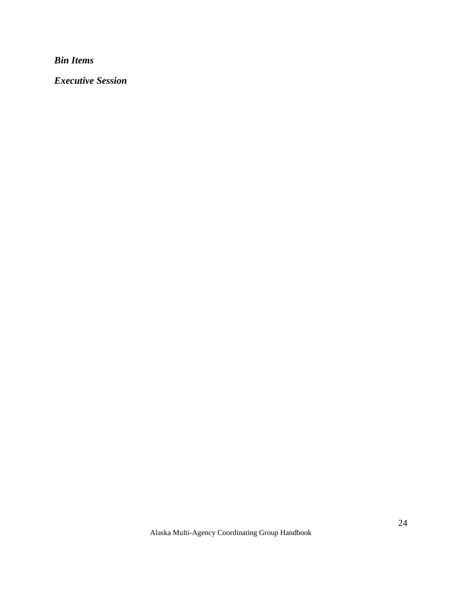*Bin Items*

*Executive Session*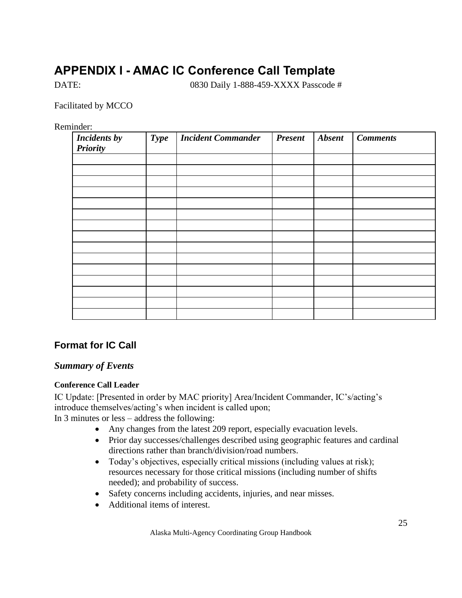# <span id="page-24-0"></span>**APPENDIX I - AMAC IC Conference Call Template**

DATE: 0830 Daily 1-888-459-XXXX Passcode #

Facilitated by MCCO

Reminder:

| <b>Incidents by</b><br><b>Priority</b> | <b>Type</b> | <b>Incident Commander</b><br><b>Present</b> |  | <b>Absent</b> | <b>Comments</b> |  |  |
|----------------------------------------|-------------|---------------------------------------------|--|---------------|-----------------|--|--|
|                                        |             |                                             |  |               |                 |  |  |
|                                        |             |                                             |  |               |                 |  |  |
|                                        |             |                                             |  |               |                 |  |  |
|                                        |             |                                             |  |               |                 |  |  |
|                                        |             |                                             |  |               |                 |  |  |
|                                        |             |                                             |  |               |                 |  |  |
|                                        |             |                                             |  |               |                 |  |  |
|                                        |             |                                             |  |               |                 |  |  |
|                                        |             |                                             |  |               |                 |  |  |
|                                        |             |                                             |  |               |                 |  |  |
|                                        |             |                                             |  |               |                 |  |  |
|                                        |             |                                             |  |               |                 |  |  |
|                                        |             |                                             |  |               |                 |  |  |
|                                        |             |                                             |  |               |                 |  |  |
|                                        |             |                                             |  |               |                 |  |  |

# **Format for IC Call**

#### *Summary of Events*

#### **Conference Call Leader**

IC Update: [Presented in order by MAC priority] Area/Incident Commander, IC's/acting's introduce themselves/acting's when incident is called upon; In 3 minutes or less – address the following:

- Any changes from the latest 209 report, especially evacuation levels.
- Prior day successes/challenges described using geographic features and cardinal directions rather than branch/division/road numbers.
- Today's objectives, especially critical missions (including values at risk); resources necessary for those critical missions (including number of shifts needed); and probability of success.
- Safety concerns including accidents, injuries, and near misses.
- Additional items of interest.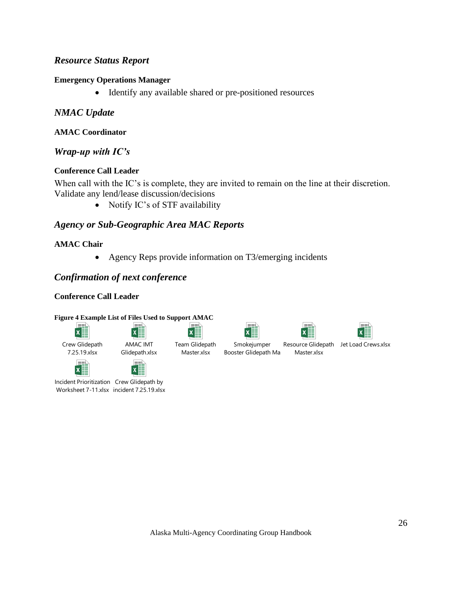### *Resource Status Report*

#### **Emergency Operations Manager**

• Identify any available shared or pre-positioned resources

#### *NMAC Update*

#### **AMAC Coordinator**

#### *Wrap-up with IC's*

#### **Conference Call Leader**

When call with the IC's is complete, they are invited to remain on the line at their discretion. Validate any lend/lease discussion/decisions

• Notify IC's of STF availability

# *Agency or Sub-Geographic Area MAC Reports*

#### **AMAC Chair**

• Agency Reps provide information on T3/emerging incidents

### *Confirmation of next conference*

#### **Conference Call Leader**

#### **Figure 4 Example List of Files Used to Support AMAC**

 $\boldsymbol{x}$ 

| Crew Glidepath |
|----------------|
| 7 25 10 vlcv   |







#### Smokejumper Booster Glidepath Ma





7.25.19.xlsx



Incident Prioritization Crew Glidepath by Worksheet 7-11.xlsx incident 7.25.19.xlsx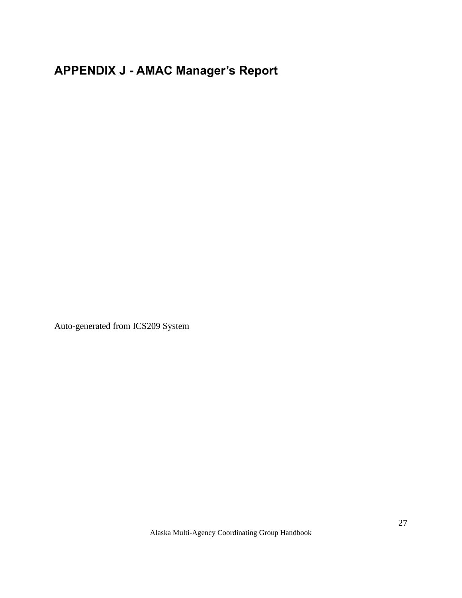# <span id="page-26-0"></span>**APPENDIX J - AMAC Manager's Report**

Auto-generated from ICS209 System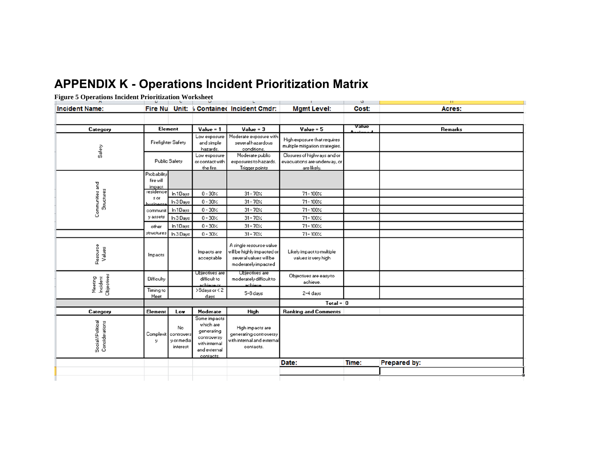# **APPENDIX K - Operations Incident Prioritization Matrix**

#### **Figure 5 Operations Incident Prioritization Worksheet**

<span id="page-27-0"></span>

| $\frac{1}{2}$<br>--------------      | U                                  |                                            | $\mathbf{u}$                                                                                         | L.                                                                                                     | the contract of the contract of the con-                                   | J     | H.                       |  |             |       |         |
|--------------------------------------|------------------------------------|--------------------------------------------|------------------------------------------------------------------------------------------------------|--------------------------------------------------------------------------------------------------------|----------------------------------------------------------------------------|-------|--------------------------|--|-------------|-------|---------|
| <b>Incident Name:</b>                |                                    |                                            |                                                                                                      | Fire Nu Unit: 6 Contained Incident Cmdr:                                                               | <b>Mgmt Level:</b>                                                         | Cost: | Acres:                   |  |             |       |         |
|                                      |                                    |                                            |                                                                                                      |                                                                                                        |                                                                            |       |                          |  |             |       |         |
| Category                             | <b>Element</b>                     |                                            |                                                                                                      |                                                                                                        |                                                                            |       | Value = 1<br>$Value = 3$ |  | $Value = 5$ | Value | Remarks |
| Safety                               | Firefighter Safety                 |                                            | Low exposure<br>and simple<br>hazards.                                                               | Moderate exposure with<br>several hazardous<br>conditions.                                             | High exposure that requires<br>multiple mitigation strategies.             |       |                          |  |             |       |         |
|                                      |                                    | Public Safety                              | Low exposure<br>or contact with<br>the fire.                                                         | Moderate public<br>exposures to hazards.<br>Trigger points                                             | Closures of highways and or<br>evacuations are underway, or<br>are likely. |       |                          |  |             |       |         |
| Communities and                      | Probability<br>fire will<br>impact |                                            |                                                                                                      |                                                                                                        |                                                                            |       |                          |  |             |       |         |
|                                      | residence<br>s or                  | In 1Days                                   | $0 - 30$ %                                                                                           | $31 - 70$ %                                                                                            | $71 - 100$ %                                                               |       |                          |  |             |       |         |
| Structures                           | usinge                             | In 3 Days                                  | $0 - 30$ %                                                                                           | $31 - 70$ %                                                                                            | $71 - 100$ %                                                               |       |                          |  |             |       |         |
|                                      | communit                           | In 1Days                                   | $0 - 30$ %                                                                                           | $31 - 70$ %                                                                                            | $71 - 100$ %                                                               |       |                          |  |             |       |         |
|                                      | y assets                           | In 3 Days                                  | $0 - 30$ %                                                                                           | $31 - 70$ %                                                                                            | $71 - 100$ %                                                               |       |                          |  |             |       |         |
|                                      | other                              | In 1Days                                   | $0 - 30$ %                                                                                           | $31 - 70$ %                                                                                            | $71 - 100$ %                                                               |       |                          |  |             |       |         |
|                                      | structures                         | In 3 Days                                  | $0 - 30$ %                                                                                           | $31 - 70$ %                                                                                            | $71 - 100$ %                                                               |       |                          |  |             |       |         |
| Resource<br>Values                   | Impacts                            |                                            | Impacts are<br>acceptable                                                                            | A single resource value<br>will be highly impacted or<br>several values will be<br>moderately impacted | Likely impact to multiple<br>values is very high                           |       |                          |  |             |       |         |
| Meeting<br>Incident<br>Objectives    | Difficulty                         |                                            | Ubjectives are<br>difficult to<br>achieue or                                                         | Ubjectives are<br>moderately difficult to<br>مبيونطوم                                                  | Objectives are easy to<br>achieve.                                         |       |                          |  |             |       |         |
|                                      | Timing to<br>Meet                  |                                            | >9days or <2<br>days                                                                                 | 5-8 days                                                                                               | 2-4 days                                                                   |       |                          |  |             |       |         |
|                                      |                                    |                                            |                                                                                                      |                                                                                                        | Total = $\vert$ 0                                                          |       |                          |  |             |       |         |
| Category                             | <b>Element</b>                     | Low                                        | Moderate                                                                                             | High                                                                                                   | <b>Ranking and Comments</b>                                                |       |                          |  |             |       |         |
| Social / Political<br>Considerations | Complexit<br>y                     | No<br>controvers<br>y or media<br>interest | Some impacts<br>which are<br>generating<br>controversy<br>with internal<br>and external<br>contacts. | High impacts are<br>generating controversy<br>with internal and external<br>contacts.                  |                                                                            |       |                          |  |             |       |         |
|                                      |                                    |                                            |                                                                                                      |                                                                                                        | Date:                                                                      | Time: | <b>Prepared by:</b>      |  |             |       |         |
|                                      |                                    |                                            |                                                                                                      |                                                                                                        |                                                                            |       |                          |  |             |       |         |
|                                      |                                    |                                            |                                                                                                      |                                                                                                        |                                                                            |       |                          |  |             |       |         |